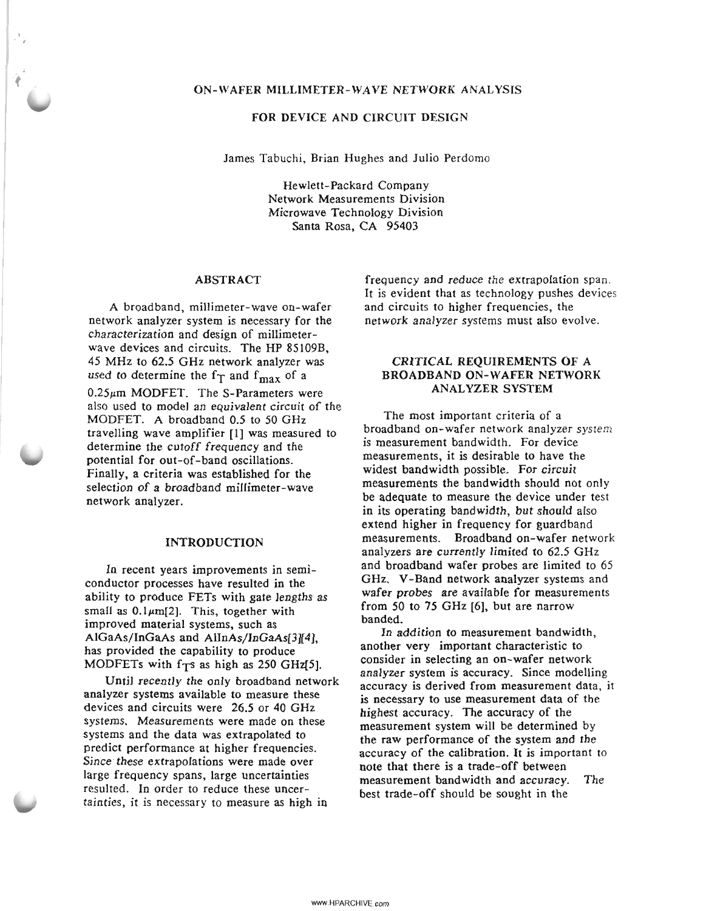#### ON-WAFER MILLIMETER-WAVE NETWORK ANALYSIS

### FOR DEVICE AND CIRCUIT DESIGN

James Tabuchi, Brian Hughes and Julio Perdomo

Hewlett-Packard Company Network Measurements Division Microwave Technology Division Santa Rosa, CA 95403

#### ABSTRACT

A broadband, millimeter-wave on-wafer network analyzer system is necessary for the characterization and design of millimeterwave devices and circuits. The HP 85109B 45 MHz to 62.5 GHz network analyzer was' used to determine the  $f_{\text{max}}$  of a

 $0.25\mu$ m MODFET. The S-Parameters were also used to model an equivalent circuit of the MODFET. A broadband 0.5 to 50 GHz travelling wave amplifier [I] was measured to determine the cutoff frequency and the potential for out-of-band oscillations. Finally, a criteria was established for the selection of a broadband millimeter-wave network analyzer.

## INTRODUCTION

In recent years improvements in semiconductor processes have resulted in the ability to produce FETs with gate lengths as small as  $0.1 \mu m[2]$ . This, together with improved material systems, such as AlGaAs/InGaAs and AlInAs/InGaAs[3][4], has provided the capability to produce MODFETs with  $f<sub>T</sub>$ s as high as 250 GHz[5].

Until recently the only broadband network analyzer systems available to measure these devices and circuits were 26.5 or 40 GHz systems. Measurements were made on these systems and the data was extrapolated to predict performance at higher frequencies. Since' these extrapolations were made over large frequency spans, large uncertainties resulted. In order to reduce these uncertainties, it is necessary to measure as high in

frequency and reduce the extrapolation span. It is evident that as technology pushes devices and circuits to higher frequencies, the network analyzer systems must also evolve.

## CRITICAL REQUIREMENTS OF A BROADBAND ON-WAFER NETWORK ANALYZER SYSTEM

The most important criteria of a broadband on-wafer network analyzer system is measurement bandwidth. For device measurements, it is desirable to have the widest bandwidth possible. For circuit measurements the bandwidth should not only be adequate to measure the device under test in its operating bandwidth, but should also extend higher in frequency for guardband measurements. Broadband on-wafer network analyzers are currently limited to 62.5 GHz and broadband wafer probes are limited to 65 GHz. V-Band network analyzer systems and wafer probes are available for measurements from 50 to 75 GHz [6], but are narrow banded.

In addition to measurement bandwidth, another very important characteristic to consider in selecting an on-wafer network analyzer system is accuracy. Since modelling accuracy is derived from measurement data, it is necessary to use measurement data of the highest accuracy. The accuracy of the measurement system will be determined by the raw performance of the system and the accuracy of the calibration. It is important to note that there is a trade-off between measurement bandwidth and accuracy. The best trade-off should be sought in the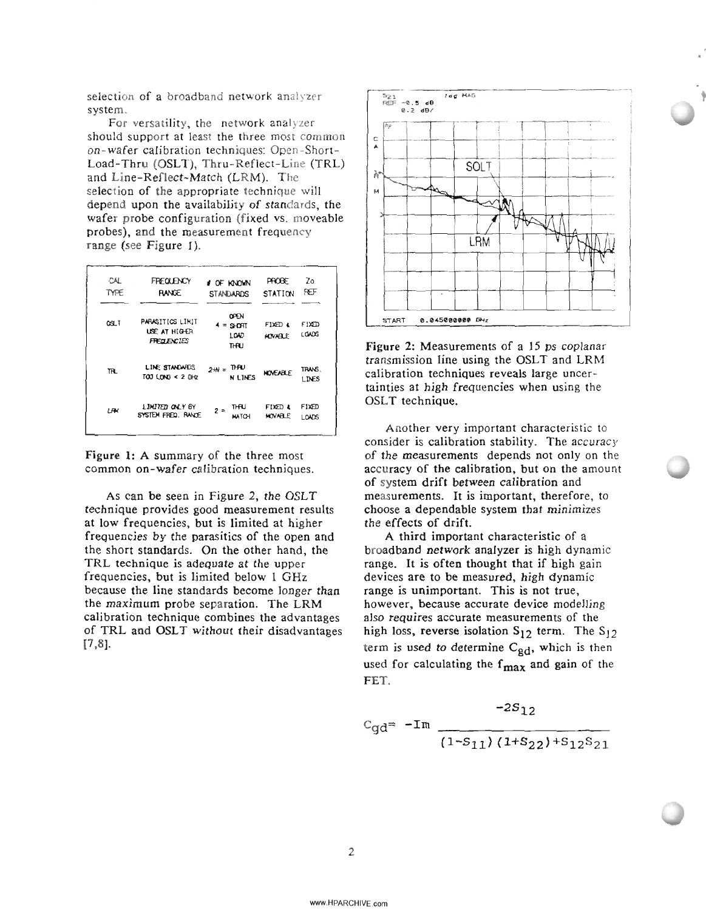selection of a broadband network analyzer system.

For versatility, the network analyzer should support at least the three most common on-wafer calibration techniques: Open-Short-Load-Thru (OSLT), Thru-Reflect-Line (TRL) and Line-Reflect-Match (LRM). The selection of the appropriate technique will depend upon the availability of standards, the wafer probe configuration (fixed vs. moveable probes), and the measurement frequency range (see Figure 1).

| CAL.<br>TYPE | <b>FREQUENCY</b><br><b>RANGE</b>                        | <b>CF KNOWN</b><br><b>STANDARDS</b> | <b>PROBE</b><br><b>STATION</b> | Z٥<br>REF              |
|--------------|---------------------------------------------------------|-------------------------------------|--------------------------------|------------------------|
| QSL T        | PARASITICS LIMIT<br>USE AT HIGHER<br><b>FREQUENCIES</b> | OPEN<br>$4 = SPORT$<br>LOAD<br>THU  | FIXED &<br><b>MOVABLE</b>      | FIXED<br>LOADS         |
| TH.          | LINE STANDARDS<br>$T(X)$ LONG $\leq$ 2 GHz              | ™RU<br>$24N =$<br><b>N LINES</b>    | <b>NOVEABLE</b>                | TRANS.<br><b>LINES</b> |
| LRK          | LIMITED ONLY BY<br>SYSTEM FRED. RANDE                   | THAU<br>$2 =$<br><b>MATCH</b>       | FIXED &<br><b>HOVARLE</b>      | FIXED<br>LOADS         |

Figure 1: A summary of the three most common on-wafer calibration techniques.

As can be seen in Figure 2, the OSLT technique provides good measurement results at low frequencies, but is limited at higher frequencies by the parasitics of the open and the short standards. On the other hand, the TRL technique is adequate at the upper frequencies, but is limited below 1 GHz because the line standards become longer than the maximum probe separation. The LRM calibration technique combines the advantages of TRL and OSLT without their disadvantages  $[7,8]$ .



Figure 2: Measurements of a 15 ps coplanar transmission line using the OSLT and LRM calibration techniques reveals large uncertainties at high frequencies when using the OSLT technique.

Another very important characteristic to consider is calibration stability. The accuracy of the measurements depends not only on the accuracy of the calibration, but on the amount of system drift between calibration and measurements. It is important, therefore, to choose a dependable system that minimizes the effects of drift.

A third important characteristic of a broadband network analyzer is high dynamic range. It is often thought that if high gain devices are to be measured, high dynamic range is unimportant. This is not true, however, because accurate device modelling also requires accurate measurements of the high loss, reverse isolation  $S_{12}$  term. The  $S_{12}$ term is used to determine  $C_{gd}$ , which is then used for calculating the  $f_{\text{max}}$  and gain of the FET.

$$
C_{\text{gd}} = -\text{Im} \frac{-2S_{12}}{(1-S_{11})(1+S_{22})+S_{12}S_{21}}
$$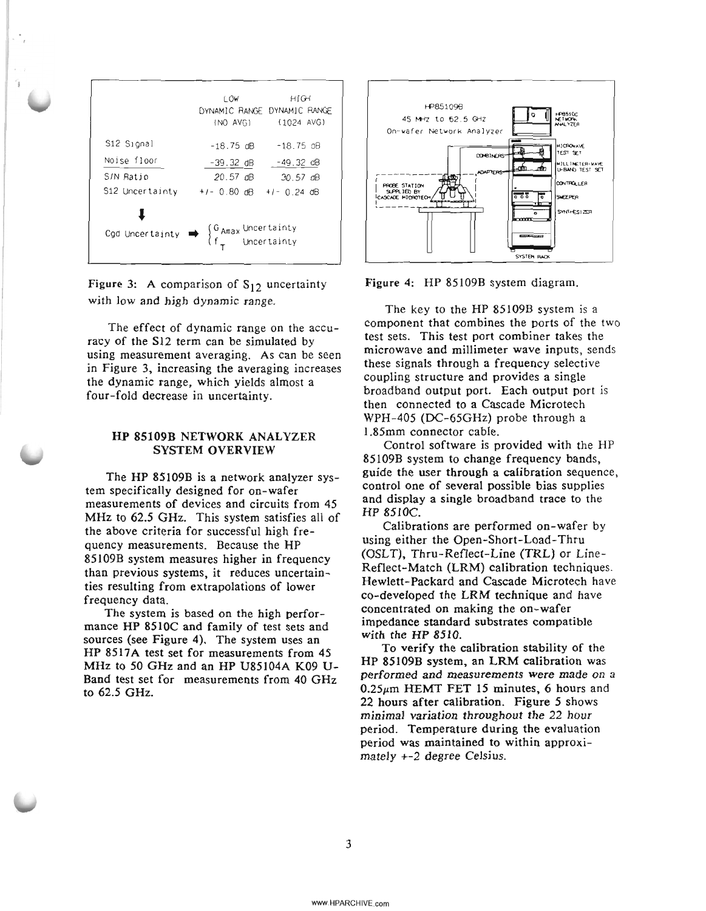|                                                                                                                                 | LOW.<br>DYNAMIC RANGE DYNAMIC RANGE | нісн<br>(NO AVG) (1024 AVG) |
|---------------------------------------------------------------------------------------------------------------------------------|-------------------------------------|-----------------------------|
| S12 Signal                                                                                                                      | $-18.75$ dB                         | -18.75 oB                   |
| Noise floor                                                                                                                     |                                     | $-39.32$ dB $-49.32$ dB     |
| S/N Ratio                                                                                                                       | 20.57 dB                            | 30.57 dB                    |
| S12 Uncertainty $+/- 0.80$ dB $+/- 0.24$ dB                                                                                     |                                     |                             |
| Cgd Uncertainty $\Rightarrow$ $\begin{cases} G_{\text{Amax}} & \text{Uncertainty} \\ f_{\tau} & \text{Uncertainty} \end{cases}$ |                                     |                             |

Figure 3: A comparison of  $S_{12}$  uncertainty with low and high dynamic range.

The effect of dynamic range on the accuracy of the S12 term can be simulated by using measurement averaging. As can be seen in Figure 3. increasing the averaging increases the dynamic range. which yields almost a four-fold decrease in uncertainty.

### HP 85109B NETWORK ANALYZER SYSTEM OVERVIEW

The HP 85109B is a network analyzer system specifically designed for on-wafer measurements of devices and circuits from 45 MHz to 62.5 GHz. This system satisfies all of the above criteria for successful high frequency measurements. Because the HP 85109B system measures higher in frequency than previous systems. it reduces uncertainties resulting from extrapolations of lower frequency data.

The system is based on the high performance HP 851OC and family of test sets and sources (see Figure 4). The system uses an HP 8517A test set for measurements from 45 MHz to 50 GHz and an HP U85104A K09 U-Band test set for measurements from 40 GHz to 62.5 GHz.





The key to the HP 85109B system is a component that combines the ports of the two test sets. This test port combiner takes the microwave and millimeter wave inputs. sends these signals through a frequency selective coupling structure and provides a single broadband output port. Each output port is then connected to a Cascade Microtech WPH-405 (DC-65GHz) probe through a 1.85mm connector cable.

Control software is provided with the HP 85109B system to change frequency bands, guide the user through a calibration sequence, control one of several possible bias supplies and display a single broadband trace to the HP 8510C.

Calibrations are performed on-wafer by using either the Open-Short-Load-Thru (OSLT). Thru-Reflect-Line (TRL) or Line-Reflect-Match (LRM) calibration techniques. Hewlett-Packard and Cascade Microtech have co-developed the LRM technique and have concentrated on making the on-wafer impedance standard substrates compatible with the HP 8510.

To verify the calibration stability of the HP 85109B system. an LRM calibration was performed and measurements were made on a  $0.25 \mu m$  HEMT FET 15 minutes, 6 hours and 22 hours after calibration. Figure 5 shows minimal variation throughout the 22 hour period. Temperature during the evaluation period was maintained to within approximately +-2 degree Celsius.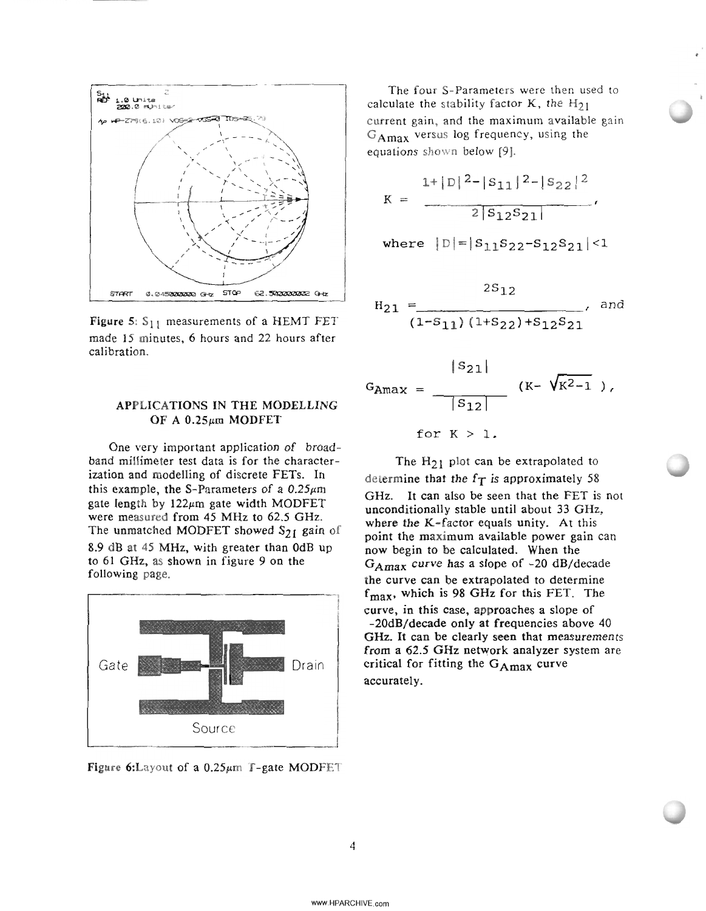

Figure 5:  $S_{11}$  measurements of a HEMT FET made 15 minutes, 6 hours and 22 hours after calibration.

# APPLICATIONS IN THE MODELLING OF A  $0.25 \mu m$  MODFET

One very important application of broadband millimeter test data is for the characterization and modelling of discrete FETs. In this example, the S-Parameters of a  $0.25 \mu m$ gate length by  $122\mu m$  gate width MODFET were measured from 45 MHz to 62.5 GHz. The unmatched MODFET showed  $S_{21}$  gain of 8.9 dB at 45 MHz, with greater than OdB up to 61 GHz, as shown in figure 9 on the following page.



Figure 6:Layout of a  $0.25 \mu m$  T-gate MODFET

The four S-Parameters were then used to calculate the stability factor K, the  $H_{21}$ current gain, and the maximum available gain GAmax versus log frequency, using the equations shown below [9].

$$
K = \frac{1+|D||^{2}-|S_{11}|^{2}-|S_{22}|^{2}}{2|S_{12}S_{21}|},
$$
  
where  $|D|=|S_{11}S_{22}-S_{12}S_{21}|<1$ 

$$
H_{21} = \frac{2S_{12}}{(1-S_{11})(1+S_{22})+S_{12}S_{21}}, \text{ and}
$$

$$
G_{\text{Amax}} = \frac{|S_{21}|}{|S_{12}|} (K - \sqrt{K^2 - 1}),
$$
  
for  $K > 1$ .

The  $H_{21}$  plot can be extrapolated to determine that the  $f<sub>T</sub>$  is approximately 58 GHz. It can also be seen that the FET is not unconditionally stable until about 33 GHz, where the K-factor equals unity. At this point the maximum available power gain can now begin to be calculated. When the  $G_{\text{Amax}}$  curve has a slope of -20 dB/decade the curve can be extrapolated to determine  $f_{\text{max}}$ , which is 98 GHz for this FET. The curve, in this case, approaches a slope of -20dB/decade only at frequencies above 40 GHz. It can be clearly seen that measurements from a 62.5 GHz network analyzer system are critical for fitting the  $G_{\text{Amax}}$  curve accurately.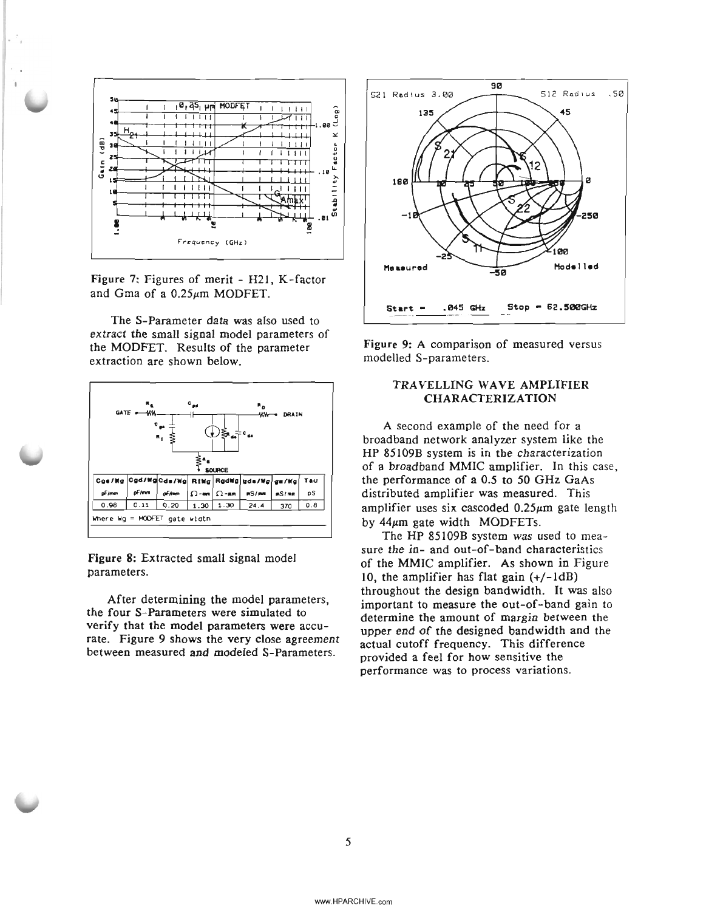

Figure 7: Figures of merit - H21, K-factor and Gma of a 0.25µm MODFET.

The S-Parameter data was also used to extract the small signal model parameters of the MODFET. Results of the parameter extraction are shown below.



Figure 8: Extracted small signal model parameters.

After determining the model parameters, the four S-Parameters were simulated to verify that the model parameters were accurate. Figure 9 shows the very close agreement between measured and modeled S-Parameters.



Figure 9: A comparison of measured versus modelled S-parameters.

# TRAVELLING WAVE AMPLIFIER **CHARACTERIZATION**

A second example of the need for a broadband network analyzer system like the HP 85109B system is in the characterization of a broadband MMIC amplifier. In this case, the performance of a 0.5 to 50 GHz GaAs distributed amplifier was measured. This amplifier uses six cascoded  $0.25\mu m$  gate length by  $44\mu m$  gate width MODFETs.

The HP 85109B system was used to measure the in- and out-of-band characteristics of the MMIC amplifier. As shown in Figure 10, the amplifier has flat gain  $(+/-1dB)$ throughout the design bandwidth. It was also important to measure the out-of-band gain to determine the amount of margin between the upper end of the designed bandwidth and the actual cutoff frequency. This difference provided a feel for how sensitive the performance was to process variations.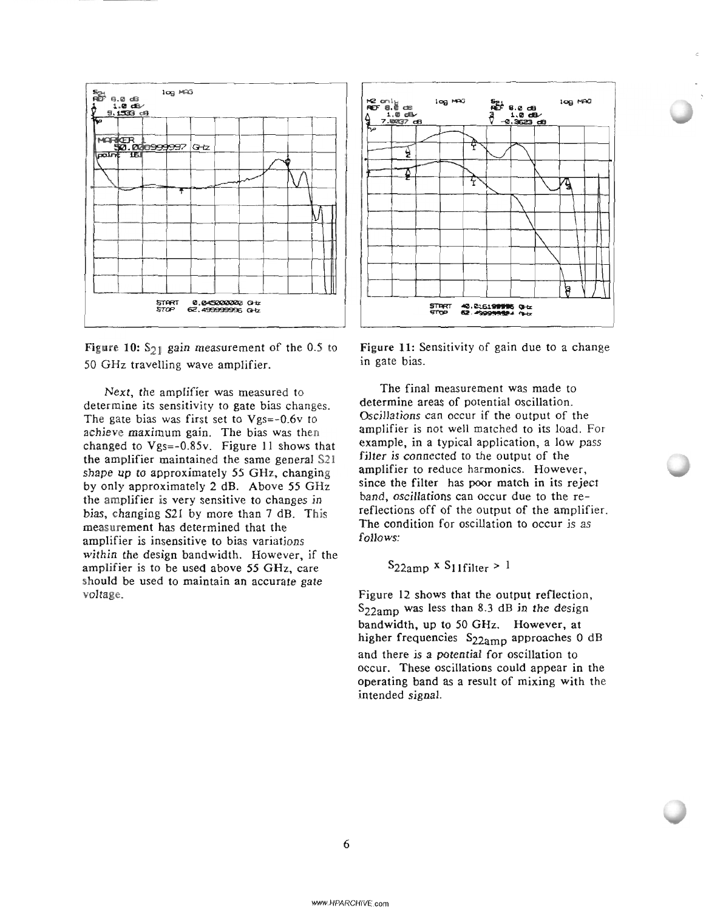

Figure 10:  $S_{21}$  gain measurement of the 0.5 to 50 GHz travelling wave amplifier.

Next. the amplifier was measured to determine its sensitivity to gate bias changes. The gate bias was first set to Vgs=-0.6v to achieve maximum gain. The bias was then changed to Vgs=-0.85v. Figure 11 shows that the amplifier maintained the same general S21 shape up to approximately 55 GHz. changing by only approximately 2 dB. Above 55 GHz the amplifier is very sensitive to changes in bias. changing S21 by more than 7 dB. This measurement has determined that the amplifier is insensitive to bias variations within the design bandwidth. However. if the amplifier is to be used above 55 GHz. care should be used to maintain an accurate gate voltage.



. .

Figure 11: Sensitivity of gain due to a change in gate bias.

The final measurement was made to determine areas of potential oscillation. Oscillations can occur if the output of the amplifier is not well matched to its load. For example, in a typical application. a low pass filter is connected to the output of the amplifier to reduce harmonics. However. since the filter has poor match in its reject band. oscillations can occur due to the rereflections off of the output of the amplifier. The condition for oscillation to occur is as follows:

 $S_{22amp}$  x  $S_{11filter} > 1$ 

Figure 12 shows that the output reflection. S22amp was less than 8.3 dB in the design bandwidth. up to 50 GHz. However. at higher frequencies S<sub>22amp</sub> approaches 0 dB and there is a potential for oscillation to occur. These oscillations could appear in the operating band as a result of mixing with the intended signal.